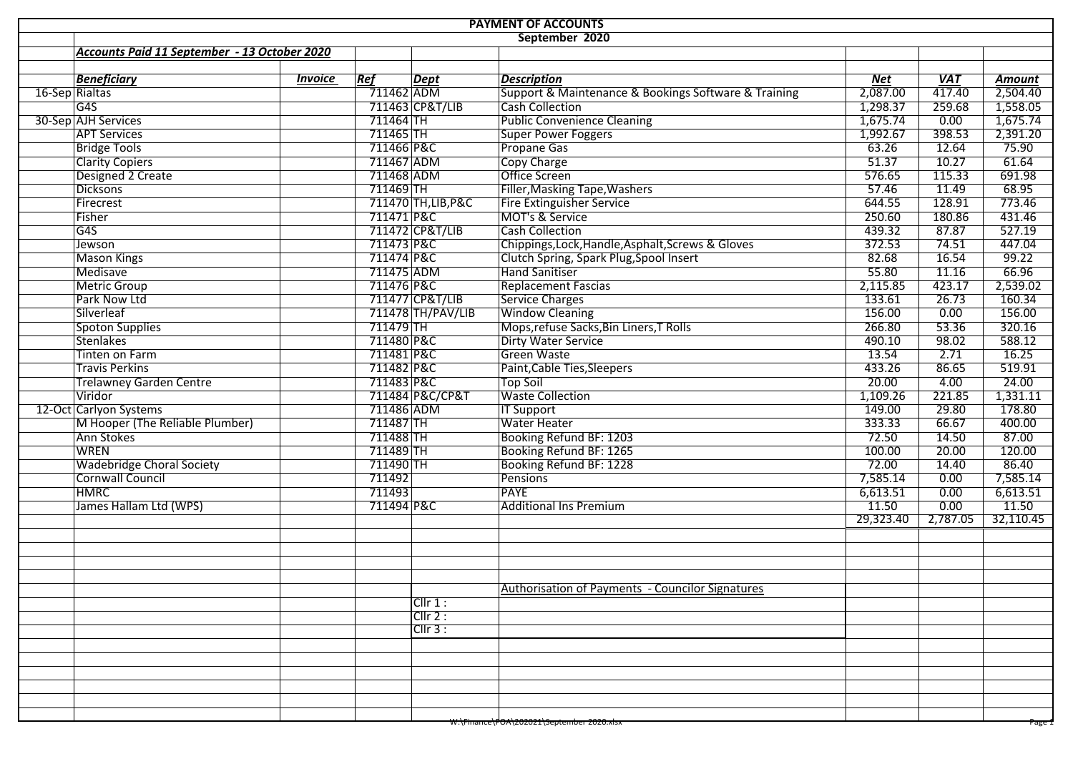| <b>PAYMENT OF ACCOUNTS</b>                   |                |             |                     |                                                      |            |            |           |  |  |  |  |  |
|----------------------------------------------|----------------|-------------|---------------------|------------------------------------------------------|------------|------------|-----------|--|--|--|--|--|
| September 2020                               |                |             |                     |                                                      |            |            |           |  |  |  |  |  |
| Accounts Paid 11 September - 13 October 2020 |                |             |                     |                                                      |            |            |           |  |  |  |  |  |
|                                              |                |             |                     |                                                      |            |            |           |  |  |  |  |  |
| <b>Beneficiary</b>                           | <b>Invoice</b> | Ref         | <b>Dept</b>         | <b>Description</b>                                   | <b>Net</b> | <b>VAT</b> | Amount    |  |  |  |  |  |
| 16-Sep Rialtas                               |                | 711462 ADM  |                     | Support & Maintenance & Bookings Software & Training | 2,087.00   | 417.40     | 2,504.40  |  |  |  |  |  |
| G4S                                          |                |             | 711463 CP&T/LIB     | <b>Cash Collection</b>                               | 1,298.37   | 259.68     | 1,558.05  |  |  |  |  |  |
| 30-Sep AJH Services                          |                | 711464 TH   |                     | <b>Public Convenience Cleaning</b>                   | 1,675.74   | 0.00       | 1,675.74  |  |  |  |  |  |
| <b>APT Services</b>                          |                | $711465$ TH |                     | <b>Super Power Foggers</b>                           | 1,992.67   | 398.53     | 2,391.20  |  |  |  |  |  |
| <b>Bridge Tools</b>                          |                | 711466 P&C  |                     | <b>Propane Gas</b>                                   | 63.26      | 12.64      | 75.90     |  |  |  |  |  |
| <b>Clarity Copiers</b>                       |                | 711467 ADM  |                     | <b>Copy Charge</b>                                   | 51.37      | 10.27      | 61.64     |  |  |  |  |  |
| Designed 2 Create                            |                | 711468 ADM  |                     | <b>Office Screen</b>                                 | 576.65     | 115.33     | 691.98    |  |  |  |  |  |
| <b>Dicksons</b>                              |                | $711469$ TH |                     | Filler, Masking Tape, Washers                        | 57.46      | 11.49      | 68.95     |  |  |  |  |  |
| Firecrest                                    |                |             | 711470 TH, LIB, P&C | Fire Extinguisher Service                            | 644.55     | 128.91     | 773.46    |  |  |  |  |  |
| Fisher                                       |                | 711471 P&C  |                     | MOT's & Service                                      | 250.60     | 180.86     | 431.46    |  |  |  |  |  |
| G4S                                          |                |             | 711472 CP&T/LIB     | <b>Cash Collection</b>                               | 439.32     | 87.87      | 527.19    |  |  |  |  |  |
| Jewson                                       |                | 711473 P&C  |                     | Chippings, Lock, Handle, Asphalt, Screws & Gloves    | 372.53     | 74.51      | 447.04    |  |  |  |  |  |
| <b>Mason Kings</b>                           |                | 711474 P&C  |                     | Clutch Spring, Spark Plug, Spool Insert              | 82.68      | 16.54      | 99.22     |  |  |  |  |  |
| Medisave                                     |                | 711475 ADM  |                     | <b>Hand Sanitiser</b>                                | 55.80      | 11.16      | 66.96     |  |  |  |  |  |
| <b>Metric Group</b>                          |                | 711476 P&C  |                     | <b>Replacement Fascias</b>                           | 2,115.85   | 423.17     | 2,539.02  |  |  |  |  |  |
| Park Now Ltd                                 |                |             | 711477 CP&T/LIB     | Service Charges                                      | 133.61     | 26.73      | 160.34    |  |  |  |  |  |
| Silverleaf                                   |                |             | 711478 TH/PAV/LIB   | <b>Window Cleaning</b>                               | 156.00     | 0.00       | 156.00    |  |  |  |  |  |
| <b>Spoton Supplies</b>                       |                | 711479 TH   |                     | Mops, refuse Sacks, Bin Liners, T Rolls              | 266.80     | 53.36      | 320.16    |  |  |  |  |  |
| Stenlakes                                    |                | 711480 P&C  |                     | Dirty Water Service                                  | 490.10     | 98.02      | 588.12    |  |  |  |  |  |
| <b>Tinten on Farm</b>                        |                | 711481 P&C  |                     | <b>Green Waste</b>                                   | 13.54      | 2.71       | 16.25     |  |  |  |  |  |
| <b>Travis Perkins</b>                        |                | 711482 P&C  |                     | Paint, Cable Ties, Sleepers                          | 433.26     | 86.65      | 519.91    |  |  |  |  |  |
| <b>Trelawney Garden Centre</b>               |                | 711483 P&C  |                     | <b>Top Soil</b>                                      | 20.00      | 4.00       | 24.00     |  |  |  |  |  |
| Viridor                                      |                |             | 711484 P&C/CP&T     | <b>Waste Collection</b>                              | 1,109.26   | 221.85     | 1,331.11  |  |  |  |  |  |
| 12-Oct Carlyon Systems                       |                | 711486 ADM  |                     | <b>IT Support</b>                                    | 149.00     | 29.80      | 178.80    |  |  |  |  |  |
| M Hooper (The Reliable Plumber)              |                | 711487 TH   |                     | <b>Water Heater</b>                                  | 333.33     | 66.67      | 400.00    |  |  |  |  |  |
| Ann Stokes                                   |                | 711488 TH   |                     | Booking Refund BF: 1203                              | 72.50      | 14.50      | 87.00     |  |  |  |  |  |
| <b>WREN</b>                                  |                | 711489 TH   |                     | Booking Refund BF: 1265                              | 100.00     | 20.00      | 120.00    |  |  |  |  |  |
| <b>Wadebridge Choral Society</b>             |                | 711490 TH   |                     | Booking Refund BF: 1228                              | 72.00      | 14.40      | 86.40     |  |  |  |  |  |
| Cornwall Council                             |                | 711492      |                     | Pensions                                             | 7,585.14   | 0.00       | 7,585.14  |  |  |  |  |  |
| <b>HMRC</b>                                  |                | 711493      |                     | <b>PAYE</b>                                          | 6,613.51   | 0.00       | 6,613.51  |  |  |  |  |  |
| James Hallam Ltd (WPS)                       |                | 711494 P&C  |                     | <b>Additional Ins Premium</b>                        | 11.50      | 0.00       | 11.50     |  |  |  |  |  |
|                                              |                |             |                     |                                                      | 29,323.40  | 2,787.05   | 32,110.45 |  |  |  |  |  |
|                                              |                |             |                     |                                                      |            |            |           |  |  |  |  |  |
|                                              |                |             |                     |                                                      |            |            |           |  |  |  |  |  |
|                                              |                |             |                     |                                                      |            |            |           |  |  |  |  |  |
|                                              |                |             |                     |                                                      |            |            |           |  |  |  |  |  |
|                                              |                |             |                     | Authorisation of Payments - Councilor Signatures     |            |            |           |  |  |  |  |  |
|                                              |                |             | Cllr 1:             |                                                      |            |            |           |  |  |  |  |  |
|                                              |                |             | $ClIr$ 2 :          |                                                      |            |            |           |  |  |  |  |  |
|                                              |                |             | ClIr 3:             |                                                      |            |            |           |  |  |  |  |  |
|                                              |                |             |                     |                                                      |            |            |           |  |  |  |  |  |
|                                              |                |             |                     |                                                      |            |            |           |  |  |  |  |  |
|                                              |                |             |                     |                                                      |            |            |           |  |  |  |  |  |
|                                              |                |             |                     |                                                      |            |            |           |  |  |  |  |  |
|                                              |                |             |                     |                                                      |            |            |           |  |  |  |  |  |
|                                              |                |             |                     | W:\Finance\POA\202021\September 2020.xlsx            |            |            | Page 1    |  |  |  |  |  |